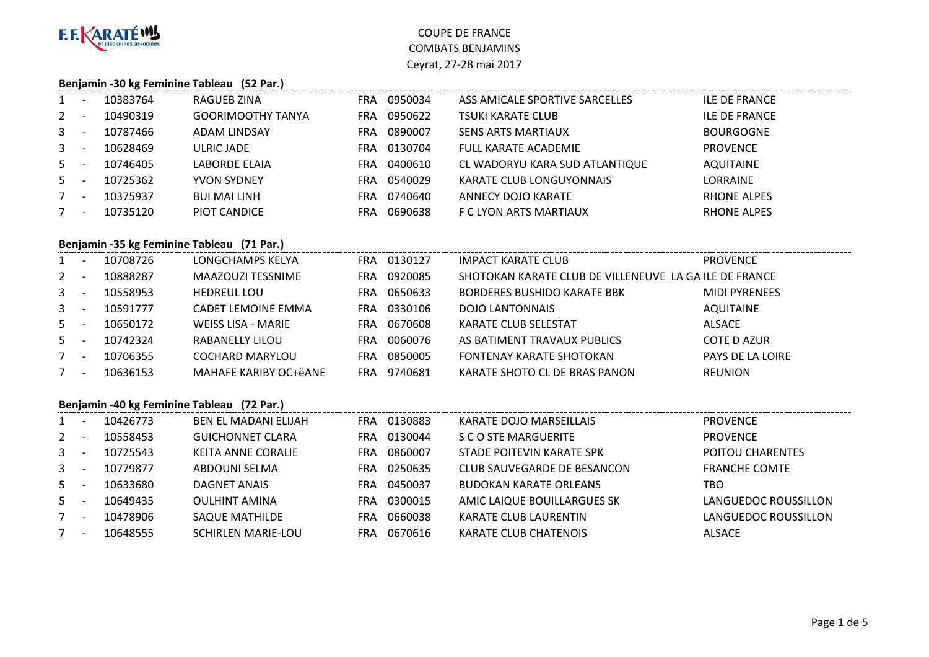

# **Benjamin -30 kg Feminine Tableau (52 Par.)**

| $1 -$   |                          | 10383764 | RAGUEB ZINA              | <b>FRA</b> | 0950034 | ASS AMICALE SPORTIVE SARCELLES | <b>ILE DE FRANCE</b> |
|---------|--------------------------|----------|--------------------------|------------|---------|--------------------------------|----------------------|
| $2 -$   |                          | 10490319 | <b>GOORIMOOTHY TANYA</b> | FRA        | 0950622 | <b>TSUKI KARATE CLUB</b>       | <b>ILE DE FRANCE</b> |
| $3 - 5$ |                          | 10787466 | <b>ADAM LINDSAY</b>      | FRA.       | 0890007 | <b>SENS ARTS MARTIAUX</b>      | <b>BOURGOGNE</b>     |
| $3 - 5$ |                          | 10628469 | ULRIC JADE               | FRA        | 0130704 | <b>FULL KARATE ACADEMIE</b>    | <b>PROVENCE</b>      |
| $5 -$   |                          | 10746405 | <b>LABORDE ELAIA</b>     | FRA.       | 0400610 | CL WADORYU KARA SUD ATLANTIQUE | <b>AQUITAINE</b>     |
| $5 -$   |                          | 10725362 | <b>YVON SYDNEY</b>       | FRA        | 0540029 | KARATE CLUB LONGUYONNAIS       | LORRAINE             |
| $7 -$   |                          | 10375937 | <b>BUI MAI LINH</b>      | FRA        | 0740640 | ANNECY DOJO KARATE             | <b>RHONE ALPES</b>   |
| 7       | $\overline{\phantom{a}}$ | 10735120 | PIOT CANDICE             | FRA        | 0690638 | F C LYON ARTS MARTIAUX         | <b>RHONE ALPES</b>   |
|         |                          |          |                          |            |         |                                |                      |

## **Benjamin -35 kg Feminine Tableau (71 Par.)**

| $1 -$   |                          | 10708726 | LONGCHAMPS KELYA      | FRA | 0130127 | <b>IMPACT KARATE CLUB</b>                              | <b>PROVENCE</b>      |
|---------|--------------------------|----------|-----------------------|-----|---------|--------------------------------------------------------|----------------------|
| $2 -$   |                          | 10888287 | MAAZOUZI TESSNIME     | FRA | 0920085 | SHOTOKAN KARATE CLUB DE VILLENEUVE LA GA ILE DE FRANCE |                      |
| $3 - 5$ |                          | 10558953 | <b>HEDREUL LOU</b>    | FRA | 0650633 | <b>BORDERES BUSHIDO KARATE BBK</b>                     | <b>MIDI PYRENEES</b> |
| $3 - 5$ |                          | 10591777 | CADET LEMOINE EMMA    | FRA | 0330106 | <b>DOJO LANTONNAIS</b>                                 | AQUITAINE            |
| $5 -$   |                          | 10650172 | WEISS LISA - MARIE    | FRA | 0670608 | KARATE CLUB SELESTAT                                   | <b>ALSACE</b>        |
| $5 -$   |                          | 10742324 | RABANELLY LILOU       | FRA | 0060076 | AS BATIMENT TRAVAUX PUBLICS                            | COTE D AZUR          |
| $7 -$   |                          | 10706355 | COCHARD MARYLOU       | FRA | 0850005 | FONTENAY KARATE SHOTOKAN                               | PAYS DE LA LOIRE     |
|         | $\overline{\phantom{a}}$ | 10636153 | MAHAFE KARIBY OC+ëANE | FRA | 9740681 | KARATE SHOTO CL DE BRAS PANON                          | <b>REUNION</b>       |
|         |                          |          |                       |     |         |                                                        |                      |

#### **Benjamin -40 kg Feminine Tableau (72 Par.)**

|                | Benjamin -40 kg Feminine Tableau (72 Par.) |          |                             |            |         |                               |                      |  |  |  |  |
|----------------|--------------------------------------------|----------|-----------------------------|------------|---------|-------------------------------|----------------------|--|--|--|--|
| $\mathbf{1}$   |                                            | 10426773 | <b>BEN EL MADANI ELIJAH</b> | <b>FRA</b> | 0130883 | KARATE DOJO MARSEILLAIS       | <b>PROVENCE</b>      |  |  |  |  |
| 2              |                                            | 10558453 | <b>GUICHONNET CLARA</b>     | FRA        | 0130044 | S C O STE MARGUERITE          | <b>PROVENCE</b>      |  |  |  |  |
| 3 <sup>1</sup> |                                            | 10725543 | KEITA ANNE CORALIE          | FRA        | 0860007 | STADE POITEVIN KARATE SPK     | POITOU CHARENTES     |  |  |  |  |
| $\mathbf{3}$   |                                            | 10779877 | ABDOUNI SELMA               | <b>FRA</b> | 0250635 | CLUB SAUVEGARDE DE BESANCON   | <b>FRANCHE COMTE</b> |  |  |  |  |
| 5              |                                            | 10633680 | DAGNET ANAIS                | FRA        | 0450037 | <b>BUDOKAN KARATE ORLEANS</b> | TBO                  |  |  |  |  |
| $5 -$          |                                            | 10649435 | <b>OULHINT AMINA</b>        | <b>FRA</b> | 0300015 | AMIC LAIQUE BOUILLARGUES SK   | LANGUEDOC ROUSSILLON |  |  |  |  |
| $7^{\circ}$    |                                            | 10478906 | <b>SAQUE MATHILDE</b>       | FRA        | 0660038 | <b>KARATE CLUB LAURENTIN</b>  | LANGUEDOC ROUSSILLON |  |  |  |  |
| $7^{\circ}$    |                                            | 10648555 | <b>SCHIRLEN MARIE-LOU</b>   | <b>FRA</b> | 0670616 | <b>KARATE CLUB CHATENOIS</b>  | <b>ALSACE</b>        |  |  |  |  |
|                |                                            |          |                             |            |         |                               |                      |  |  |  |  |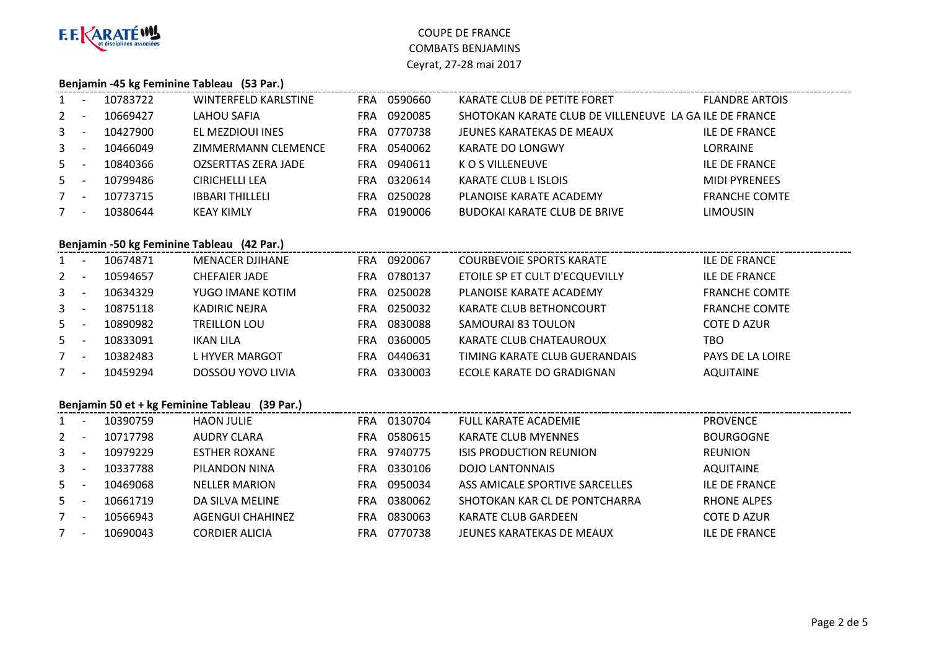

#### **Benjamin -45 kg Feminine Tableau (53 Par.)**

| $1 -$   | 10783722 | <b>WINTERFELD KARLSTINE</b> | <b>FRA</b> | 0590660 | KARATE CLUB DE PETITE FORET                            | <b>FLANDRE ARTOIS</b> |
|---------|----------|-----------------------------|------------|---------|--------------------------------------------------------|-----------------------|
| $2 -$   | 10669427 | LAHOU SAFIA                 | FRA        | 0920085 | SHOTOKAN KARATE CLUB DE VILLENEUVE LA GA ILE DE FRANCE |                       |
| $3 - 5$ | 10427900 | EL MEZDIOUI INES            | FRA        | 0770738 | JEUNES KARATEKAS DE MEAUX                              | <b>ILE DE FRANCE</b>  |
| $3 - -$ | 10466049 | ZIMMERMANN CLEMENCE         | FRA        | 0540062 | KARATE DO LONGWY                                       | LORRAINE              |
| $5 -$   | 10840366 | <b>OZSERTTAS ZERA JADE</b>  | FRA        | 0940611 | K O S VILLENEUVE                                       | <b>ILE DE FRANCE</b>  |
| $5 -$   | 10799486 | CIRICHELLI LEA              | FRA        | 0320614 | <b>KARATE CLUB L ISLOIS</b>                            | <b>MIDI PYRENEES</b>  |
| $7 -$   | 10773715 | <b>IBBARI THILLELI</b>      | FRA        | 0250028 | PLANOISE KARATE ACADEMY                                | <b>FRANCHE COMTE</b>  |
| $7 -$   | 10380644 | <b>KEAY KIMLY</b>           | FRA        | 0190006 | <b>BUDOKAI KARATE CLUB DE BRIVE</b>                    | <b>LIMOUSIN</b>       |
|         |          |                             |            |         |                                                        |                       |

# **Benjamin -50 kg Feminine Tableau (42 Par.)**

| $\mathbf{1}$ | -                        | 10674871 | MENACER DJIHANE          | FRA. | 0920067 | <b>COURBEVOIE SPORTS KARATE</b> | <b>ILE DE FRANCE</b>    |
|--------------|--------------------------|----------|--------------------------|------|---------|---------------------------------|-------------------------|
| $2^{\circ}$  | $\overline{\phantom{a}}$ | 10594657 | <b>CHEFAIER JADE</b>     | FRA. | 0780137 | ETOILE SP ET CULT D'ECQUEVILLY  | <b>ILE DE FRANCE</b>    |
| $3 - 1$      |                          | 10634329 | YUGO IMANE KOTIM         | FRA. | 0250028 | PLANOISE KARATE ACADEMY         | <b>FRANCHE COMTE</b>    |
| $3 -$        |                          | 10875118 | KADIRIC NEJRA            | FRA. | 0250032 | KARATE CLUB BETHONCOURT         | <b>FRANCHE COMTE</b>    |
| $5 -$        |                          | 10890982 | <b>TREILLON LOU</b>      | FRA  | 0830088 | SAMOURAI 83 TOULON              | <b>COTE D AZUR</b>      |
| $5 -$        |                          | 10833091 | IKAN LILA                | FRA  | 0360005 | KARATE CLUB CHATEAUROUX         | тво                     |
| $7 -$        |                          | 10382483 | L HYVER MARGOT           | FRA. | 0440631 | TIMING KARATE CLUB GUERANDAIS   | <b>PAYS DE LA LOIRE</b> |
| $7^{\circ}$  | $\overline{\phantom{a}}$ | 10459294 | <b>DOSSOU YOVO LIVIA</b> | FRA  | 0330003 | ECOLE KARATE DO GRADIGNAN       | <b>AQUITAINE</b>        |
|              |                          |          |                          |      |         |                                 |                         |

#### **Benjamin 50 et + kg Feminine Tableau (39 Par.)**

|                | Benjamin 50 et + kg Feminine Tableau (39 Par.) |          |                       |            |         |                                |                      |  |  |  |  |
|----------------|------------------------------------------------|----------|-----------------------|------------|---------|--------------------------------|----------------------|--|--|--|--|
|                |                                                | 10390759 | HAON JULIE            | <b>FRA</b> | 0130704 | FULL KARATE ACADEMIE           | <b>PROVENCE</b>      |  |  |  |  |
| $2^{\circ}$    |                                                | 10717798 | AUDRY CLARA           | <b>FRA</b> | 0580615 | <b>KARATE CLUB MYENNES</b>     | <b>BOURGOGNE</b>     |  |  |  |  |
| 3 <sup>1</sup> |                                                | 10979229 | <b>ESTHER ROXANE</b>  | <b>FRA</b> | 9740775 | <b>ISIS PRODUCTION REUNION</b> | <b>REUNION</b>       |  |  |  |  |
| $\mathbf{3}$   |                                                | 10337788 | PILANDON NINA         | <b>FRA</b> | 0330106 | <b>DOJO LANTONNAIS</b>         | <b>AQUITAINE</b>     |  |  |  |  |
| 5              |                                                | 10469068 | <b>NELLER MARION</b>  | FRA        | 0950034 | ASS AMICALE SPORTIVE SARCELLES | <b>ILE DE FRANCE</b> |  |  |  |  |
| 5              |                                                | 10661719 | DA SILVA MELINE       | FRA        | 0380062 | SHOTOKAN KAR CL DE PONTCHARRA  | <b>RHONE ALPES</b>   |  |  |  |  |
| 7              |                                                | 10566943 | AGENGUI CHAHINEZ      | FRA        | 0830063 | KARATE CLUB GARDEEN            | COTE D AZUR          |  |  |  |  |
| 7              | $\overline{\phantom{a}}$                       | 10690043 | <b>CORDIER ALICIA</b> | FRA        | 0770738 | JEUNES KARATEKAS DE MEAUX      | <b>ILE DE FRANCE</b> |  |  |  |  |
|                |                                                |          |                       |            |         |                                |                      |  |  |  |  |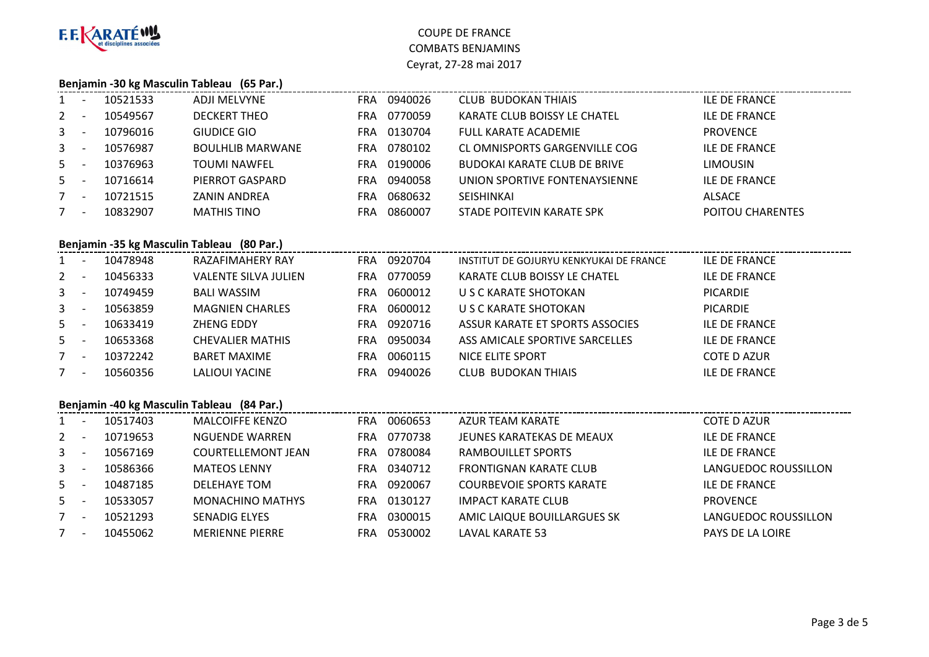

# **Benjamin -30 kg Masculin Tableau (65 Par.)**

| $1 -$   |                          | 10521533 | ADJI MELVYNE            | FRA | 0940026 | <b>CLUB BUDOKAN THIAIS</b>          | <b>ILE DE FRANCE</b> |
|---------|--------------------------|----------|-------------------------|-----|---------|-------------------------------------|----------------------|
| $2 -$   |                          | 10549567 | <b>DECKERT THEO</b>     | FRA | 0770059 | KARATE CLUB BOISSY LE CHATEL        | <b>ILE DE FRANCE</b> |
| $3 - 5$ |                          | 10796016 | GIUDICE GIO             | FRA | 0130704 | FULL KARATE ACADEMIE                | <b>PROVENCE</b>      |
| $3 - 5$ |                          | 10576987 | <b>BOULHLIB MARWANE</b> | FRA | 0780102 | CL OMNISPORTS GARGENVILLE COG       | <b>ILE DE FRANCE</b> |
| $5 -$   |                          | 10376963 | <b>TOUMI NAWFEL</b>     | FRA | 0190006 | <b>BUDOKAI KARATE CLUB DE BRIVE</b> | <b>LIMOUSIN</b>      |
| $5 -$   |                          | 10716614 | PIERROT GASPARD         | FRA | 0940058 | UNION SPORTIVE FONTENAYSIENNE       | <b>ILE DE FRANCE</b> |
|         | $\overline{\phantom{a}}$ | 10721515 | <b>ZANIN ANDREA</b>     | FRA | 0680632 | <b>SEISHINKAI</b>                   | ALSACE               |
|         | $\overline{\phantom{0}}$ | 10832907 | <b>MATHIS TINO</b>      | FRA | 0860007 | STADE POITEVIN KARATE SPK           | POITOU CHARENTES     |
|         |                          |          |                         |     |         |                                     |                      |

## **Benjamin -35 kg Masculin Tableau (80 Par.)**

| $1 -$       |                          | 10478948 | RAZAFIMAHERY RAY            | <b>FRA</b> | 0920704 | INSTITUT DE GOJURYU KENKYUKAI DE FRANCE | <b>ILE DE FRANCE</b> |
|-------------|--------------------------|----------|-----------------------------|------------|---------|-----------------------------------------|----------------------|
| $2 -$       |                          | 10456333 | <b>VALENTE SILVA JULIEN</b> | FRA        | 0770059 | KARATE CLUB BOISSY LE CHATEL            | <b>ILE DE FRANCE</b> |
| $3 -$       |                          | 10749459 | <b>BALI WASSIM</b>          | FRA        | 0600012 | U S C KARATE SHOTOKAN                   | <b>PICARDIE</b>      |
| $3 -$       | <b>.</b>                 | 10563859 | <b>MAGNIEN CHARLES</b>      | <b>FRA</b> | 0600012 | U S C KARATE SHOTOKAN                   | <b>PICARDIE</b>      |
| $5 -$       |                          | 10633419 | ZHENG EDDY                  | FRA        | 0920716 | ASSUR KARATE ET SPORTS ASSOCIES         | <b>ILE DE FRANCE</b> |
| $5 -$       |                          | 10653368 | <b>CHEVALIER MATHIS</b>     | FRA.       | 0950034 | ASS AMICALE SPORTIVE SARCELLES          | <b>ILE DE FRANCE</b> |
| $7^{\circ}$ | $\overline{\phantom{a}}$ | 10372242 | <b>BARET MAXIME</b>         | <b>FRA</b> | 0060115 | NICE ELITE SPORT                        | <b>COTE D AZUR</b>   |
|             | <b>.</b>                 | 10560356 | <b>LALIOUI YACINE</b>       | FRA        | 0940026 | <b>CLUB BUDOKAN THIAIS</b>              | <b>ILE DE FRANCE</b> |
|             |                          |          |                             |            |         |                                         |                      |

#### **Benjamin -40 kg Masculin Tableau (84 Par.)**

|              | Benjamin -40 kg Masculin Tableau (84 Par.) |          |                           |            |         |                                 |                         |  |  |  |  |
|--------------|--------------------------------------------|----------|---------------------------|------------|---------|---------------------------------|-------------------------|--|--|--|--|
| $1 \quad$    |                                            | 10517403 | <b>MALCOIFFE KENZO</b>    | <b>FRA</b> | 0060653 | AZUR TEAM KARATE                | COTE D AZUR             |  |  |  |  |
| 2            |                                            | 10719653 | NGUENDE WARREN            | FRA.       | 0770738 | JEUNES KARATEKAS DE MEAUX       | <b>ILE DE FRANCE</b>    |  |  |  |  |
| $\mathbf{3}$ |                                            | 10567169 | <b>COURTELLEMONT JEAN</b> | FRA        | 0780084 | RAMBOUILLET SPORTS              | <b>ILE DE FRANCE</b>    |  |  |  |  |
| $\mathbf{3}$ |                                            | 10586366 | <b>MATEOS LENNY</b>       | FRA        | 0340712 | FRONTIGNAN KARATE CLUB          | LANGUEDOC ROUSSILLON    |  |  |  |  |
| $5 -$        |                                            | 10487185 | DELEHAYE TOM              | FRA.       | 0920067 | <b>COURBEVOIE SPORTS KARATE</b> | <b>ILE DE FRANCE</b>    |  |  |  |  |
| 5            |                                            | 10533057 | <b>MONACHINO MATHYS</b>   | FRA        | 0130127 | <b>IMPACT KARATE CLUB</b>       | <b>PROVENCE</b>         |  |  |  |  |
| $7^{\circ}$  |                                            | 10521293 | <b>SENADIG ELYES</b>      | FRA.       | 0300015 | AMIC LAIQUE BOUILLARGUES SK     | LANGUEDOC ROUSSILLON    |  |  |  |  |
| 7            |                                            | 10455062 | <b>MERIENNE PIERRE</b>    | FRA.       | 0530002 | LAVAL KARATE 53                 | <b>PAYS DE LA LOIRE</b> |  |  |  |  |
|              |                                            |          |                           |            |         |                                 |                         |  |  |  |  |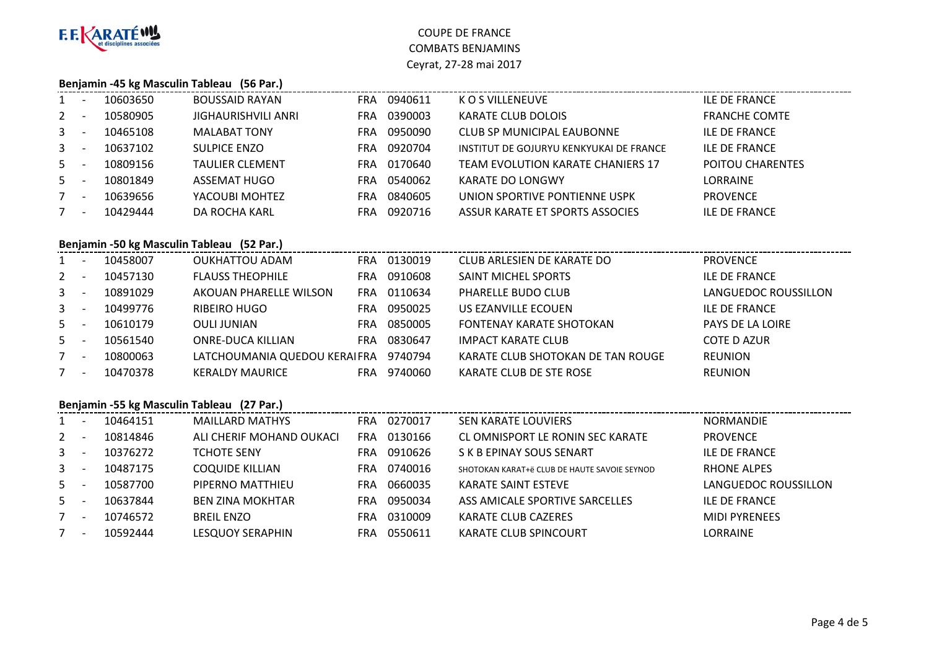

## **Benjamin -45 kg Masculin Tableau (56 Par.)**

| $1 -$       |                          | 10603650 | <b>BOUSSAID RAYAN</b>  | <b>FRA</b> | 0940611 | K O S VILLENEUVE                        | <b>ILE DE FRANCE</b>    |
|-------------|--------------------------|----------|------------------------|------------|---------|-----------------------------------------|-------------------------|
| $2 -$       |                          | 10580905 | JIGHAURISHVILI ANRI    | FRA        | 0390003 | <b>KARATE CLUB DOLOIS</b>               | <b>FRANCHE COMTE</b>    |
| $3 -$       |                          | 10465108 | <b>MALABAT TONY</b>    | FRA        | 0950090 | CLUB SP MUNICIPAL EAUBONNE              | <b>ILE DE FRANCE</b>    |
| $3 - 5$     |                          | 10637102 | <b>SULPICE ENZO</b>    | FRA        | 0920704 | INSTITUT DE GOJURYU KENKYUKAI DE FRANCE | <b>ILE DE FRANCE</b>    |
| $5 -$       |                          | 10809156 | <b>TAULIER CLEMENT</b> | FRA        | 0170640 | TEAM EVOLUTION KARATE CHANIERS 17       | <b>POITOU CHARENTES</b> |
| $5 -$       |                          | 10801849 | ASSEMAT HUGO           | FRA        | 0540062 | KARATE DO LONGWY                        | LORRAINE                |
| $7 -$       |                          | 10639656 | YACOUBI MOHTEZ         | FRA        | 0840605 | UNION SPORTIVE PONTIENNE USPK           | <b>PROVENCE</b>         |
| $7^{\circ}$ | $\overline{\phantom{a}}$ | 10429444 | DA ROCHA KARL          | FRA        | 0920716 | ASSUR KARATE ET SPORTS ASSOCIES         | <b>ILE DE FRANCE</b>    |
|             |                          |          |                        |            |         |                                         |                         |

## **Benjamin -50 kg Masculin Tableau (52 Par.)**

| $1 \quad$ | . .                      | 10458007 | <b>OUKHATTOU ADAM</b>        | <b>FRA</b> | 0130019 | CLUB ARLESIEN DE KARATE DO        | <b>PROVENCE</b>         |
|-----------|--------------------------|----------|------------------------------|------------|---------|-----------------------------------|-------------------------|
| $2 -$     |                          | 10457130 | <b>FLAUSS THEOPHILE</b>      | FRA        | 0910608 | <b>SAINT MICHEL SPORTS</b>        | <b>ILE DE FRANCE</b>    |
| $3 -$     |                          | 10891029 | AKOUAN PHARELLE WILSON       | FRA        | 0110634 | PHARELLE BUDO CLUB                | LANGUEDOC ROUSSILLON    |
| $3 - 5$   |                          | 10499776 | <b>RIBEIRO HUGO</b>          | <b>FRA</b> | 0950025 | US EZANVILLE ECOUEN               | <b>ILE DE FRANCE</b>    |
| $5 -$     |                          | 10610179 | <b>OULI JUNIAN</b>           | FRA        | 0850005 | <b>FONTENAY KARATE SHOTOKAN</b>   | <b>PAYS DE LA LOIRE</b> |
| $5 -$     |                          | 10561540 | ONRE-DUCA KILLIAN            | FRA        | 0830647 | IMPACT KARATE CLUB                | <b>COTE D AZUR</b>      |
| 7         | $\overline{\phantom{a}}$ | 10800063 | LATCHOUMANIA QUEDOU KERAIFRA |            | 9740794 | KARATE CLUB SHOTOKAN DE TAN ROUGE | <b>REUNION</b>          |
| $7 -$     |                          | 10470378 | <b>KERALDY MAURICE</b>       | FRA        | 9740060 | KARATE CLUB DE STE ROSE           | <b>REUNION</b>          |
|           |                          |          |                              |            |         |                                   |                         |

#### **Benjamin -55 kg Masculin Tableau (27 Par.)**

|                | 10464151 | <b>MAILLARD MATHYS</b>   | FRA | 0270017 | <b>SEN KARATE LOUVIERS</b>                   | <b>NORMANDIE</b>     |
|----------------|----------|--------------------------|-----|---------|----------------------------------------------|----------------------|
| $2^{\circ}$    | 10814846 | ALI CHERIF MOHAND OUKACI | FRA | 0130166 | CL OMNISPORT LE RONIN SEC KARATE             | <b>PROVENCE</b>      |
| 3 <sup>1</sup> | 10376272 | <b>TCHOTE SENY</b>       | FRA | 0910626 | S K B EPINAY SOUS SENART                     | <b>ILE DE FRANCE</b> |
| $\mathbf{3}$   | 10487175 | <b>COQUIDE KILLIAN</b>   | FRA | 0740016 | SHOTOKAN KARAT+ë CLUB DE HAUTE SAVOIE SEYNOD | <b>RHONE ALPES</b>   |
| $5 -$          | 10587700 | PIPERNO MATTHIEU         | FRA | 0660035 | KARATE SAINT ESTEVE                          | LANGUEDOC ROUSSILLON |
| 5 -            | 10637844 | <b>BEN ZINA MOKHTAR</b>  | FRA | 0950034 | ASS AMICALE SPORTIVE SARCELLES               | <b>ILE DE FRANCE</b> |
|                | 10746572 | <b>BREIL ENZO</b>        | FRA | 0310009 | KARATE CLUB CAZERES                          | <b>MIDI PYRENEES</b> |
| $7^{\circ}$    | 10592444 | <b>LESQUOY SERAPHIN</b>  | FRA | 0550611 | <b>KARATE CLUB SPINCOURT</b>                 | <b>LORRAINE</b>      |